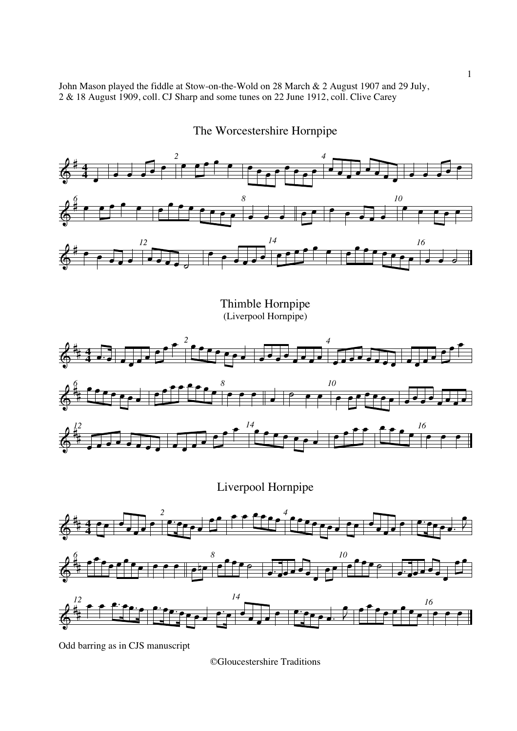John Mason played the fiddle at Stow-on-the-Wold on 28 March & 2 August 1907 and 29 July, 2 & 18 August 1909, coll. CJ Sharp and some tunes on 22 June 1912, coll. Clive Carey



The Worcestershire Hornpipe

Odd barring as in CJS manuscript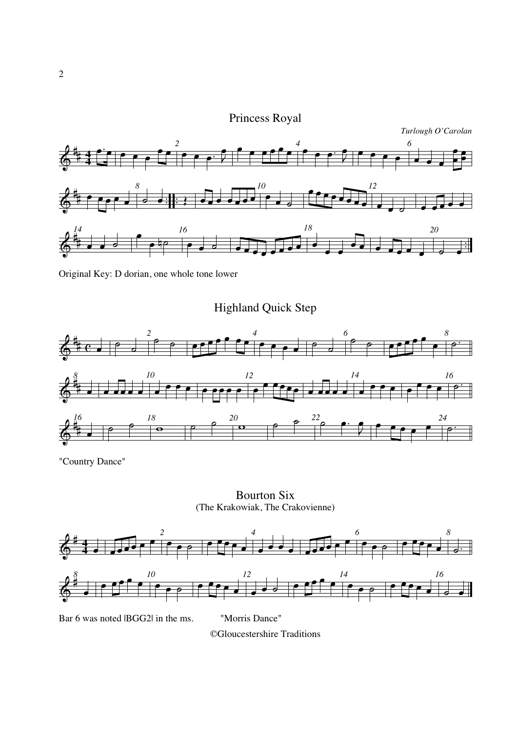# Princess Royal



Original Key: D dorian, one whole tone lower

Highland Quick Step



"Country Dance"

Bourton Six (The Krakowiak, The Crakovienne)



Bar 6 was noted IBGG2l in the ms. "Morris Dance"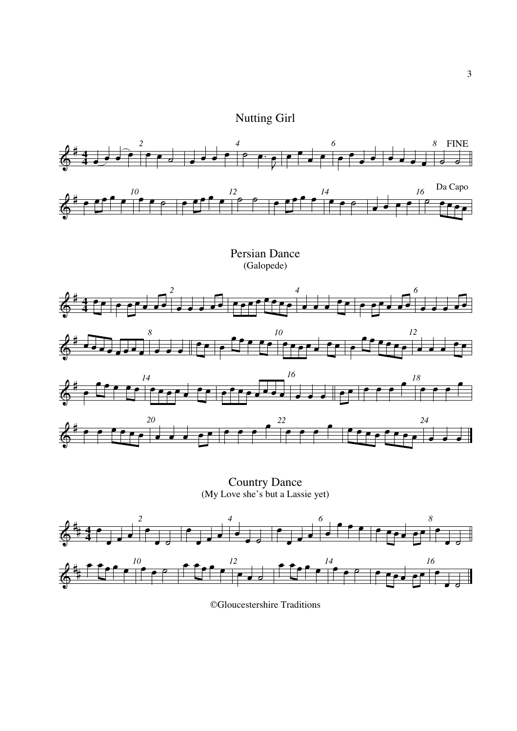



(My Love she's but a Lassie yet)

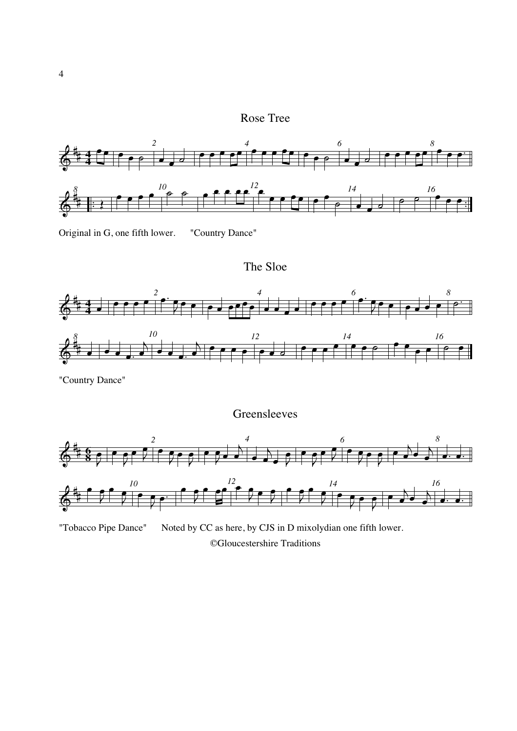## Rose Tree



Original in G, one fifth lower. "Country Dance"

The Sloe



"Country Dance"

Greensleeves

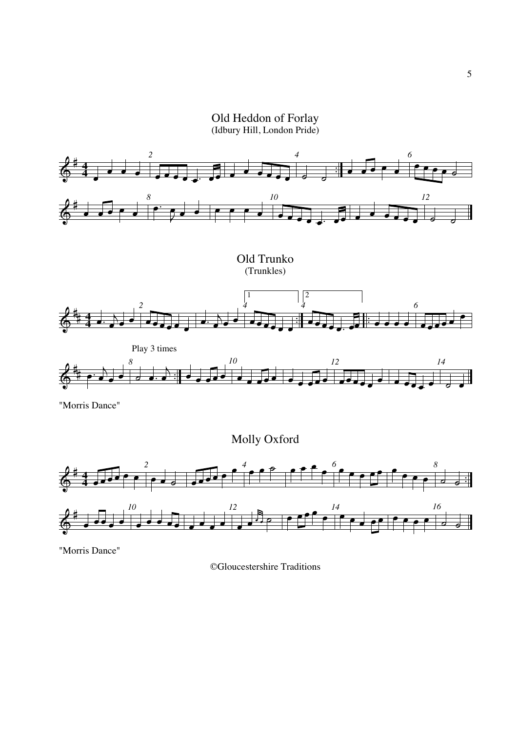Old Heddon of Forlay (Idbury Hill, London Pride)



"Morris Dance"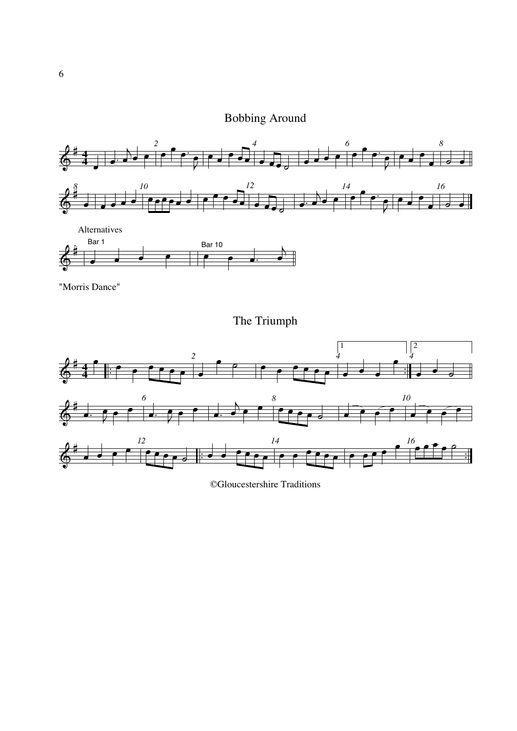# Bobbing Around





"Morris Dance"

The Triumph



<sup>©</sup>Gloucestershire Traditions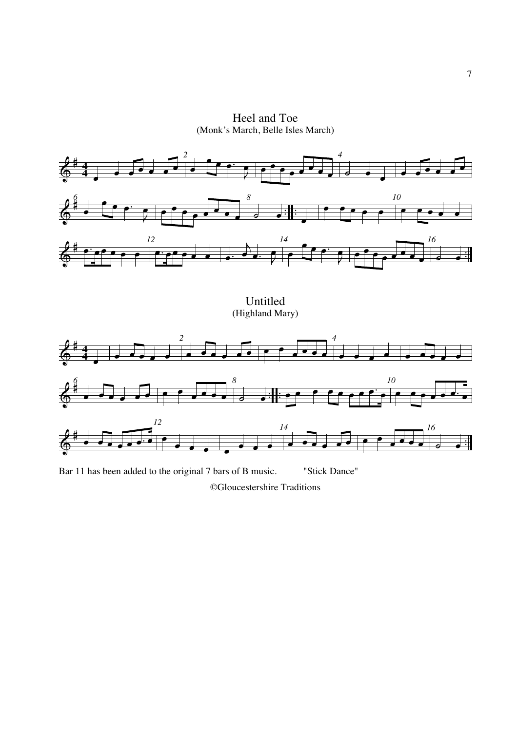Heel and Toe (Monk's March, Belle Isles March)



Bar 11 has been added to the original 7 bars of B music. "Stick Dance" ©Gloucestershire Traditions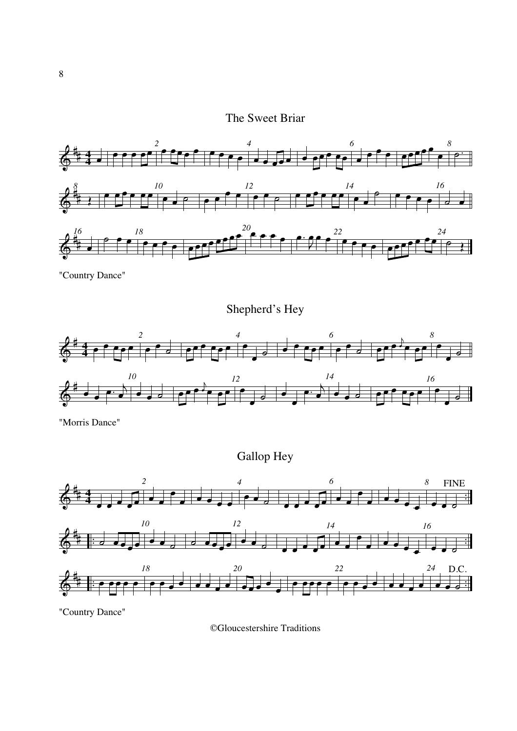## The Sweet Briar



"Country Dance"

Shepherd's Hey



"Morris Dance"

Gallop Hey



"Country Dance"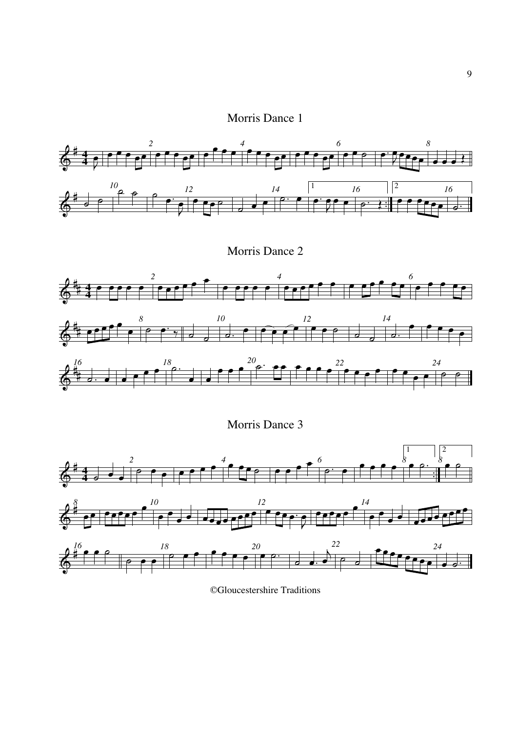## Morris Dance 1



Morris Dance 2



Morris Dance 3



©Gloucestershire Traditions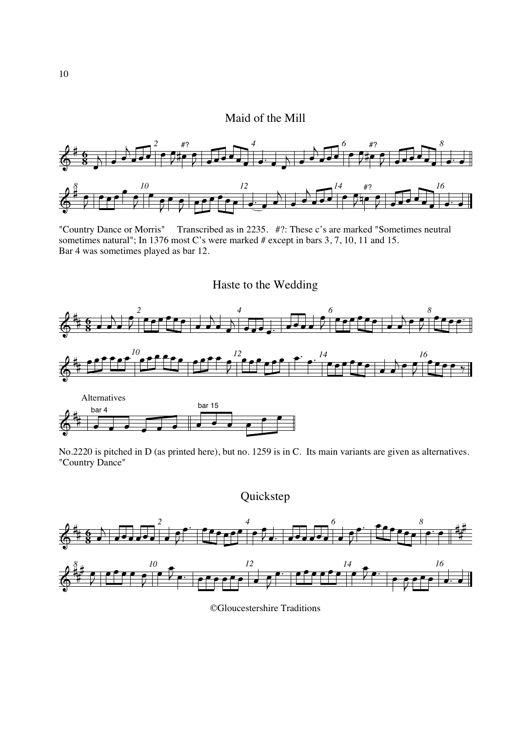#### Maid of the Mill



"Country Dance or Morris" Transcribed as in 2235. #?: These c's are marked "Sometimes neutral sometimes natural"; In 1376 most C's were marked # except in bars 3, 7, 10, 11 and 15. Bar 4 was sometimes played as bar 12.









©Gloucestershire Traditions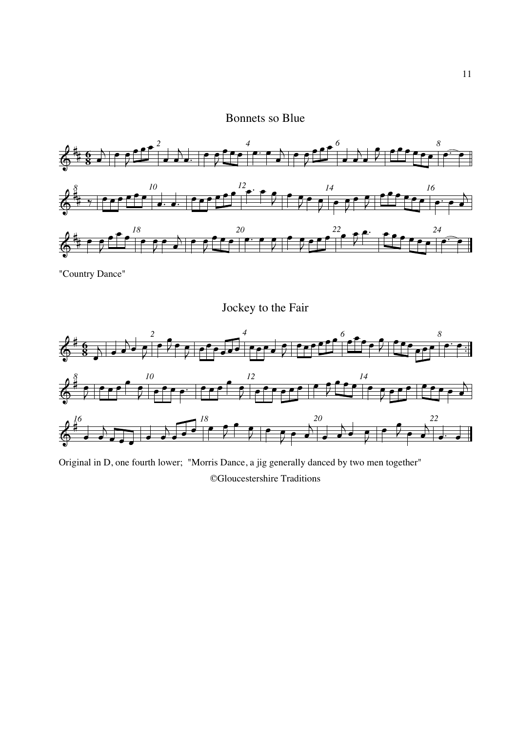## Bonnets so Blue



"Country Dance"





Original in D, one fourth lower; "Morris Dance, a jig generally danced by two men together" ©Gloucestershire Traditions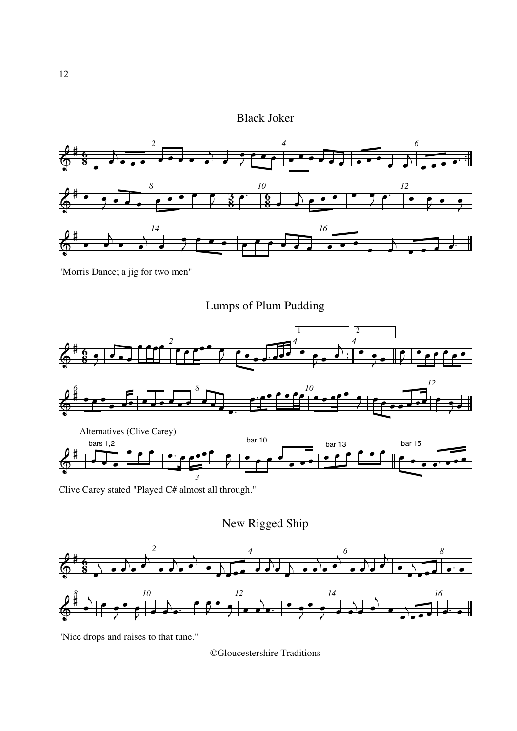## Black Joker



"Morris Dance; a jig for two men"





Clive Carey stated "Played C# almost all through."

New Rigged Ship



"Nice drops and raises to that tune."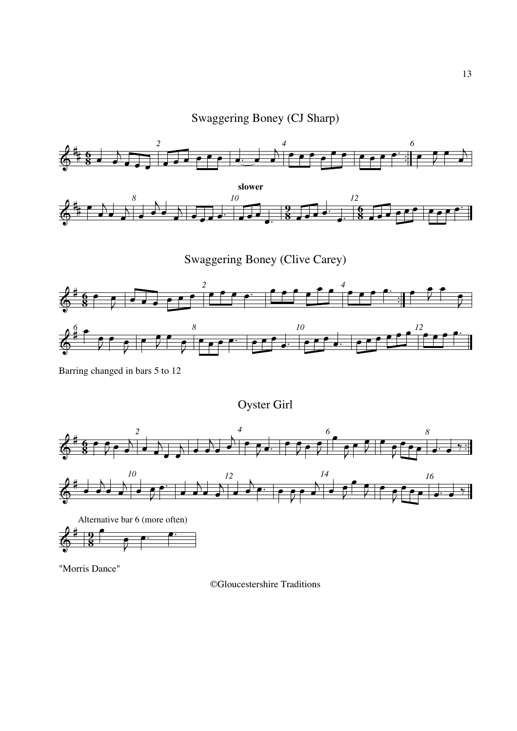Swaggering Boney (CJ Sharp)



Swaggering Boney (Clive Carey)



Barring changed in bars 5 to 12

Oyster Girl



"Morris Dance"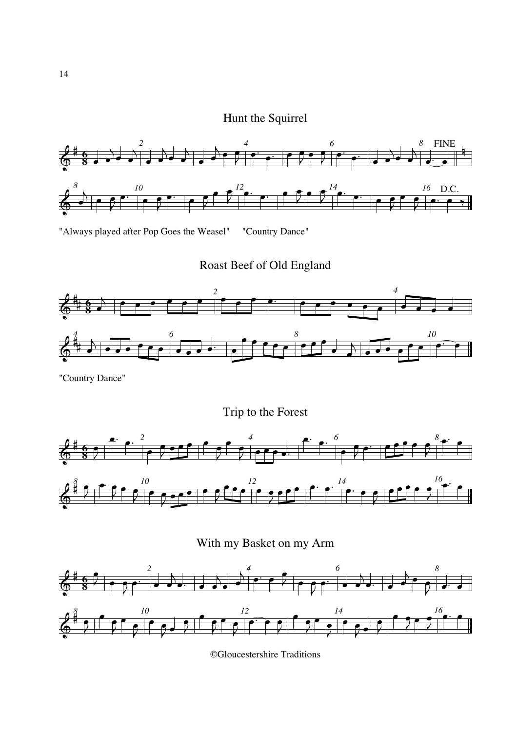Hunt the Squirrel



"Always played after Pop Goes the Weasel" "Country Dance"

Roast Beef of Old England



"Country Dance"

Trip to the Forest





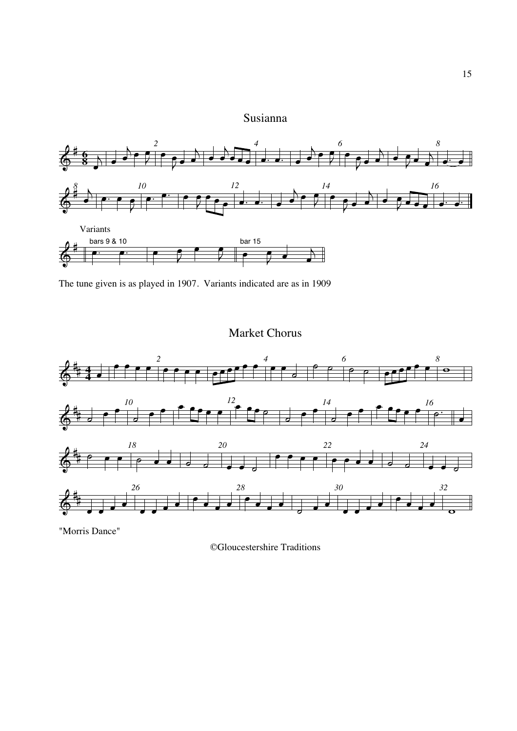## Susianna



The tune given is as played in 1907. Variants indicated are as in 1909

## Market Chorus



"Morris Dance"